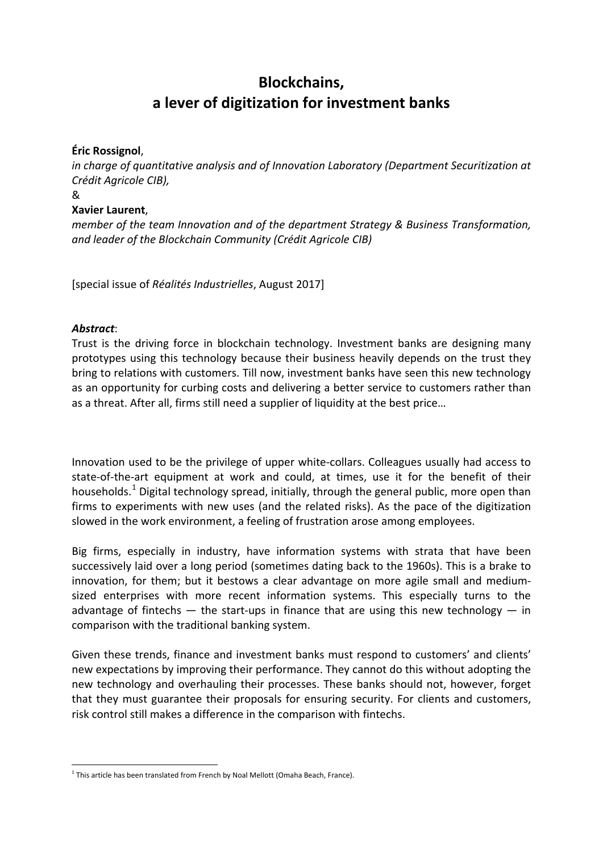# **Blockchains, a lever of digitization for investment banks**

#### **Éric Rossignol**,

*in charge of quantitative analysis and of Innovation Laboratory (Department Securitization at Crédit Agricole CIB),*

#### &

#### **Xavier Laurent**,

*member of the team Innovation and of the department Strategy & Business Transformation, and leader of the Blockchain Community (Crédit Agricole CIB)*

[special issue of *Réalités Industrielles*, August 2017]

#### *Abstract*:

Trust is the driving force in blockchain technology. Investment banks are designing many prototypes using this technology because their business heavily depends on the trust they bring to relations with customers. Till now, investment banks have seen this new technology as an opportunity for curbing costs and delivering a better service to customers rather than as a threat. After all, firms still need a supplier of liquidity at the best price…

Innovation used to be the privilege of upper white-collars. Colleagues usually had access to state-of-the-art equipment at work and could, at times, use it for the benefit of their households.<sup>[1](#page-0-0)</sup> Digital technology spread, initially, through the general public, more open than firms to experiments with new uses (and the related risks). As the pace of the digitization slowed in the work environment, a feeling of frustration arose among employees.

Big firms, especially in industry, have information systems with strata that have been successively laid over a long period (sometimes dating back to the 1960s). This is a brake to innovation, for them; but it bestows a clear advantage on more agile small and mediumsized enterprises with more recent information systems. This especially turns to the advantage of fintechs  $-$  the start-ups in finance that are using this new technology  $-$  in comparison with the traditional banking system.

Given these trends, finance and investment banks must respond to customers' and clients' new expectations by improving their performance. They cannot do this without adopting the new technology and overhauling their processes. These banks should not, however, forget that they must guarantee their proposals for ensuring security. For clients and customers, risk control still makes a difference in the comparison with fintechs.

<span id="page-0-0"></span> $1$  This article has been translated from French by Noal Mellott (Omaha Beach, France).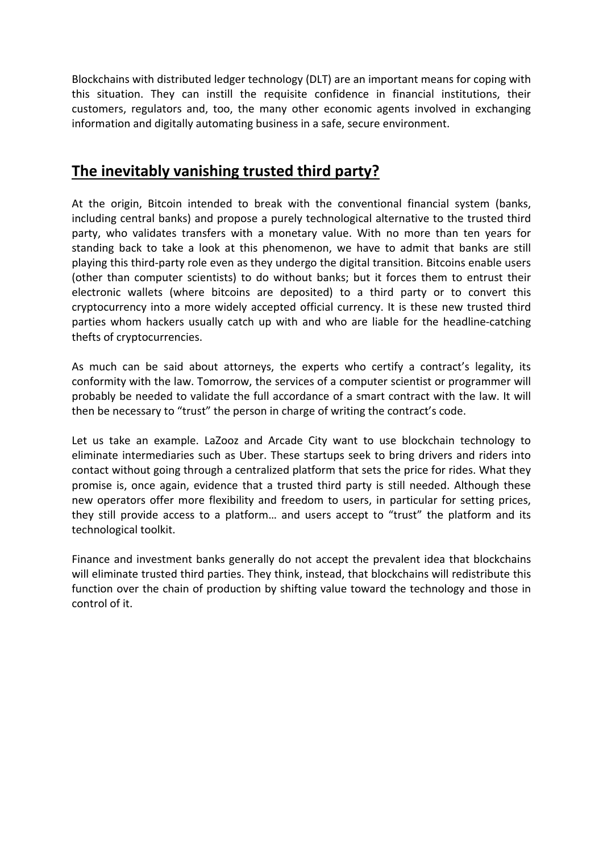Blockchains with distributed ledger technology (DLT) are an important means for coping with this situation. They can instill the requisite confidence in financial institutions, their customers, regulators and, too, the many other economic agents involved in exchanging information and digitally automating business in a safe, secure environment.

### **The inevitably vanishing trusted third party?**

At the origin, Bitcoin intended to break with the conventional financial system (banks, including central banks) and propose a purely technological alternative to the trusted third party, who validates transfers with a monetary value. With no more than ten years for standing back to take a look at this phenomenon, we have to admit that banks are still playing this third-party role even as they undergo the digital transition. Bitcoins enable users (other than computer scientists) to do without banks; but it forces them to entrust their electronic wallets (where bitcoins are deposited) to a third party or to convert this cryptocurrency into a more widely accepted official currency. It is these new trusted third parties whom hackers usually catch up with and who are liable for the headline-catching thefts of cryptocurrencies.

As much can be said about attorneys, the experts who certify a contract's legality, its conformity with the law. Tomorrow, the services of a computer scientist or programmer will probably be needed to validate the full accordance of a smart contract with the law. It will then be necessary to "trust" the person in charge of writing the contract's code.

Let us take an example. LaZooz and Arcade City want to use blockchain technology to eliminate intermediaries such as Uber. These startups seek to bring drivers and riders into contact without going through a centralized platform that sets the price for rides. What they promise is, once again, evidence that a trusted third party is still needed. Although these new operators offer more flexibility and freedom to users, in particular for setting prices, they still provide access to a platform… and users accept to "trust" the platform and its technological toolkit.

Finance and investment banks generally do not accept the prevalent idea that blockchains will eliminate trusted third parties. They think, instead, that blockchains will redistribute this function over the chain of production by shifting value toward the technology and those in control of it.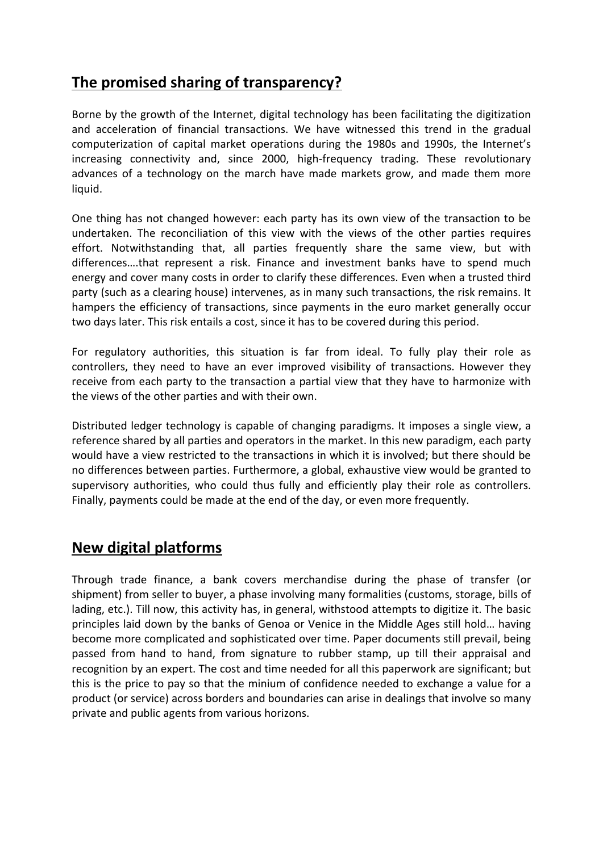# **The promised sharing of transparency?**

Borne by the growth of the Internet, digital technology has been facilitating the digitization and acceleration of financial transactions. We have witnessed this trend in the gradual computerization of capital market operations during the 1980s and 1990s, the Internet's increasing connectivity and, since 2000, high-frequency trading. These revolutionary advances of a technology on the march have made markets grow, and made them more liquid.

One thing has not changed however: each party has its own view of the transaction to be undertaken. The reconciliation of this view with the views of the other parties requires effort. Notwithstanding that, all parties frequently share the same view, but with differences….that represent a risk. Finance and investment banks have to spend much energy and cover many costs in order to clarify these differences. Even when a trusted third party (such as a clearing house) intervenes, as in many such transactions, the risk remains. It hampers the efficiency of transactions, since payments in the euro market generally occur two days later. This risk entails a cost, since it has to be covered during this period.

For regulatory authorities, this situation is far from ideal. To fully play their role as controllers, they need to have an ever improved visibility of transactions. However they receive from each party to the transaction a partial view that they have to harmonize with the views of the other parties and with their own.

Distributed ledger technology is capable of changing paradigms. It imposes a single view, a reference shared by all parties and operators in the market. In this new paradigm, each party would have a view restricted to the transactions in which it is involved; but there should be no differences between parties. Furthermore, a global, exhaustive view would be granted to supervisory authorities, who could thus fully and efficiently play their role as controllers. Finally, payments could be made at the end of the day, or even more frequently.

# **New digital platforms**

Through trade finance, a bank covers merchandise during the phase of transfer (or shipment) from seller to buyer, a phase involving many formalities (customs, storage, bills of lading, etc.). Till now, this activity has, in general, withstood attempts to digitize it. The basic principles laid down by the banks of Genoa or Venice in the Middle Ages still hold… having become more complicated and sophisticated over time. Paper documents still prevail, being passed from hand to hand, from signature to rubber stamp, up till their appraisal and recognition by an expert. The cost and time needed for all this paperwork are significant; but this is the price to pay so that the minium of confidence needed to exchange a value for a product (or service) across borders and boundaries can arise in dealings that involve so many private and public agents from various horizons.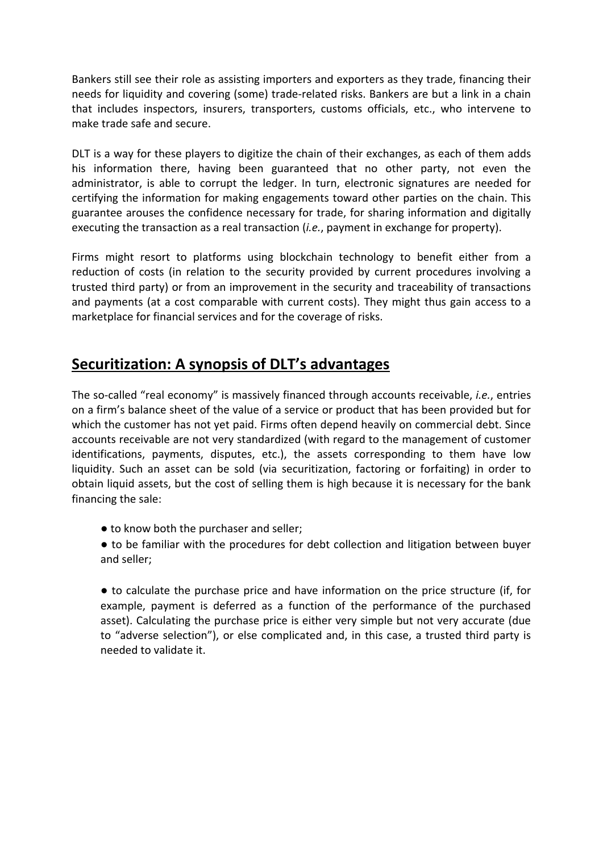Bankers still see their role as assisting importers and exporters as they trade, financing their needs for liquidity and covering (some) trade-related risks. Bankers are but a link in a chain that includes inspectors, insurers, transporters, customs officials, etc., who intervene to make trade safe and secure.

DLT is a way for these players to digitize the chain of their exchanges, as each of them adds his information there, having been guaranteed that no other party, not even the administrator, is able to corrupt the ledger. In turn, electronic signatures are needed for certifying the information for making engagements toward other parties on the chain. This guarantee arouses the confidence necessary for trade, for sharing information and digitally executing the transaction as a real transaction (*i.e.*, payment in exchange for property).

Firms might resort to platforms using blockchain technology to benefit either from a reduction of costs (in relation to the security provided by current procedures involving a trusted third party) or from an improvement in the security and traceability of transactions and payments (at a cost comparable with current costs). They might thus gain access to a marketplace for financial services and for the coverage of risks.

### **Securitization: A synopsis of DLT's advantages**

The so-called "real economy" is massively financed through accounts receivable, *i.e.*, entries on a firm's balance sheet of the value of a service or product that has been provided but for which the customer has not yet paid. Firms often depend heavily on commercial debt. Since accounts receivable are not very standardized (with regard to the management of customer identifications, payments, disputes, etc.), the assets corresponding to them have low liquidity. Such an asset can be sold (via securitization, factoring or forfaiting) in order to obtain liquid assets, but the cost of selling them is high because it is necessary for the bank financing the sale:

- to know both the purchaser and seller;
- to be familiar with the procedures for debt collection and litigation between buyer and seller;

● to calculate the purchase price and have information on the price structure (if, for example, payment is deferred as a function of the performance of the purchased asset). Calculating the purchase price is either very simple but not very accurate (due to "adverse selection"), or else complicated and, in this case, a trusted third party is needed to validate it.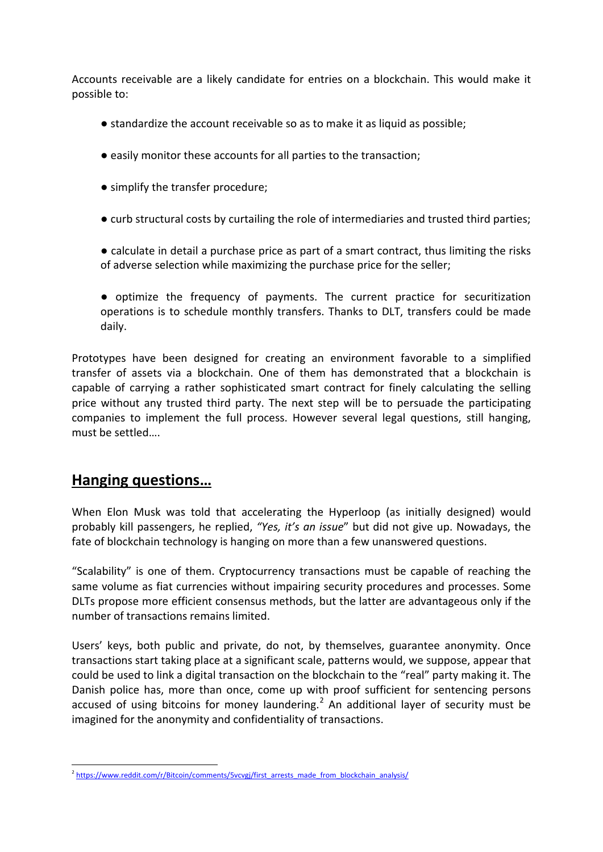Accounts receivable are a likely candidate for entries on a blockchain. This would make it possible to:

- standardize the account receivable so as to make it as liquid as possible;
- easily monitor these accounts for all parties to the transaction;
- simplify the transfer procedure;
- curb structural costs by curtailing the role of intermediaries and trusted third parties;
- calculate in detail a purchase price as part of a smart contract, thus limiting the risks of adverse selection while maximizing the purchase price for the seller;
- optimize the frequency of payments. The current practice for securitization operations is to schedule monthly transfers. Thanks to DLT, transfers could be made daily.

Prototypes have been designed for creating an environment favorable to a simplified transfer of assets via a blockchain. One of them has demonstrated that a blockchain is capable of carrying a rather sophisticated smart contract for finely calculating the selling price without any trusted third party. The next step will be to persuade the participating companies to implement the full process. However several legal questions, still hanging, must be settled….

### **Hanging questions…**

When Elon Musk was told that accelerating the Hyperloop (as initially designed) would probably kill passengers, he replied, *"Yes, it's an issue*" but did not give up. Nowadays, the fate of blockchain technology is hanging on more than a few unanswered questions.

"Scalability" is one of them. Cryptocurrency transactions must be capable of reaching the same volume as fiat currencies without impairing security procedures and processes. Some DLTs propose more efficient consensus methods, but the latter are advantageous only if the number of transactions remains limited.

Users' keys, both public and private, do not, by themselves, guarantee anonymity. Once transactions start taking place at a significant scale, patterns would, we suppose, appear that could be used to link a digital transaction on the blockchain to the "real" party making it. The Danish police has, more than once, come up with proof sufficient for sentencing persons accused of using bitcoins for money laundering.<sup>[2](#page-4-0)</sup> An additional layer of security must be imagined for the anonymity and confidentiality of transactions.

<span id="page-4-0"></span><sup>&</sup>lt;sup>2</sup> [https://www.reddit.com/r/Bitcoin/comments/5vcvgj/first\\_arrests\\_made\\_from\\_blockchain\\_analysis/](https://www.reddit.com/r/Bitcoin/comments/5vcvgj/first_arrests_made_from_blockchain_analysis/)